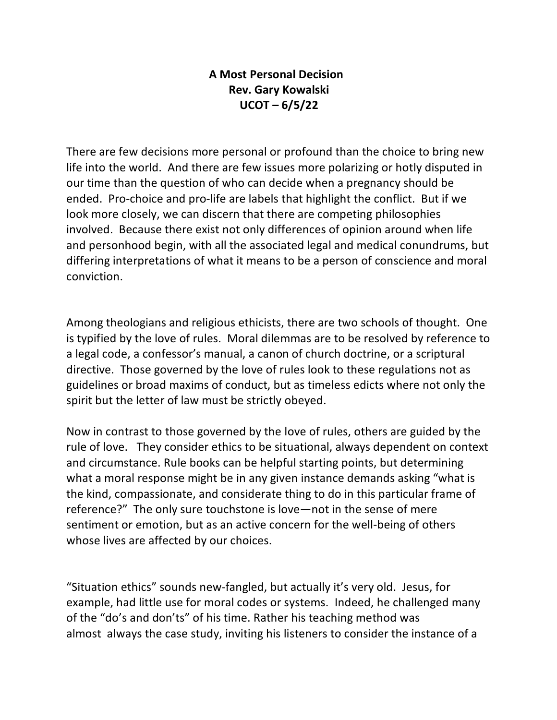## **A Most Personal Decision Rev. Gary Kowalski UCOT – 6/5/22**

There are few decisions more personal or profound than the choice to bring new life into the world. And there are few issues more polarizing or hotly disputed in our time than the question of who can decide when a pregnancy should be ended. Pro-choice and pro-life are labels that highlight the conflict. But if we look more closely, we can discern that there are competing philosophies involved. Because there exist not only differences of opinion around when life and personhood begin, with all the associated legal and medical conundrums, but differing interpretations of what it means to be a person of conscience and moral conviction.

Among theologians and religious ethicists, there are two schools of thought. One is typified by the love of rules. Moral dilemmas are to be resolved by reference to a legal code, a confessor's manual, a canon of church doctrine, or a scriptural directive. Those governed by the love of rules look to these regulations not as guidelines or broad maxims of conduct, but as timeless edicts where not only the spirit but the letter of law must be strictly obeyed.

Now in contrast to those governed by the love of rules, others are guided by the rule of love. They consider ethics to be situational, always dependent on context and circumstance. Rule books can be helpful starting points, but determining what a moral response might be in any given instance demands asking "what is the kind, compassionate, and considerate thing to do in this particular frame of reference?" The only sure touchstone is love—not in the sense of mere sentiment or emotion, but as an active concern for the well-being of others whose lives are affected by our choices.

"Situation ethics" sounds new-fangled, but actually it's very old. Jesus, for example, had little use for moral codes or systems. Indeed, he challenged many of the "do's and don'ts" of his time. Rather his teaching method was almost always the case study, inviting his listeners to consider the instance of a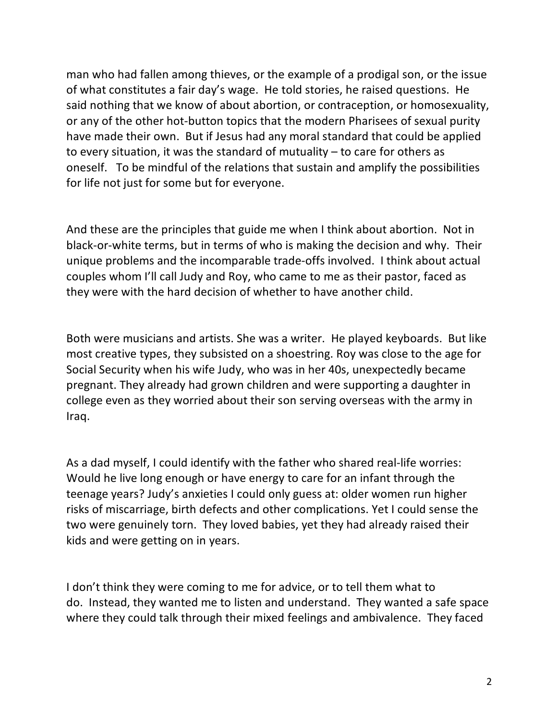man who had fallen among thieves, or the example of a prodigal son, or the issue of what constitutes a fair day's wage. He told stories, he raised questions. He said nothing that we know of about abortion, or contraception, or homosexuality, or any of the other hot-button topics that the modern Pharisees of sexual purity have made their own. But if Jesus had any moral standard that could be applied to every situation, it was the standard of mutuality – to care for others as oneself. To be mindful of the relations that sustain and amplify the possibilities for life not just for some but for everyone.

And these are the principles that guide me when I think about abortion. Not in black-or-white terms, but in terms of who is making the decision and why. Their unique problems and the incomparable trade-offs involved. I think about actual couples whom I'll call Judy and Roy, who came to me as their pastor, faced as they were with the hard decision of whether to have another child.

Both were musicians and artists. She was a writer. He played keyboards. But like most creative types, they subsisted on a shoestring. Roy was close to the age for Social Security when his wife Judy, who was in her 40s, unexpectedly became pregnant. They already had grown children and were supporting a daughter in college even as they worried about their son serving overseas with the army in Iraq.

As a dad myself, I could identify with the father who shared real-life worries: Would he live long enough or have energy to care for an infant through the teenage years? Judy's anxieties I could only guess at: older women run higher risks of miscarriage, birth defects and other complications. Yet I could sense the two were genuinely torn. They loved babies, yet they had already raised their kids and were getting on in years.

I don't think they were coming to me for advice, or to tell them what to do. Instead, they wanted me to listen and understand. They wanted a safe space where they could talk through their mixed feelings and ambivalence. They faced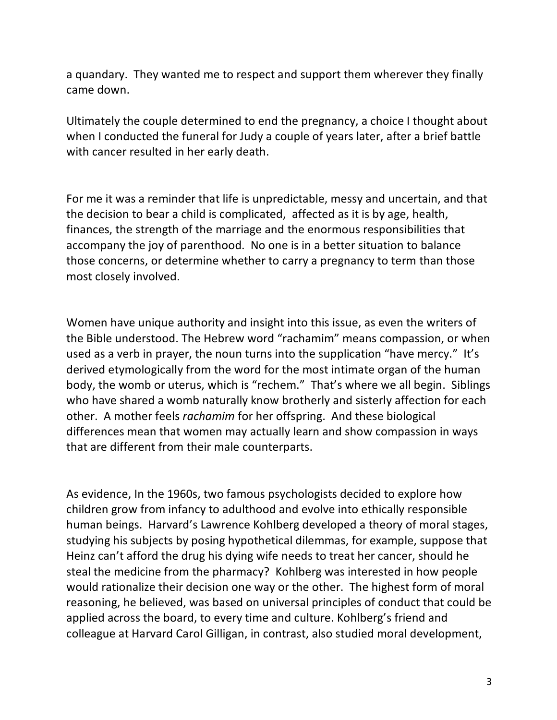a quandary. They wanted me to respect and support them wherever they finally came down.

Ultimately the couple determined to end the pregnancy, a choice I thought about when I conducted the funeral for Judy a couple of years later, after a brief battle with cancer resulted in her early death.

For me it was a reminder that life is unpredictable, messy and uncertain, and that the decision to bear a child is complicated, affected as it is by age, health, finances, the strength of the marriage and the enormous responsibilities that accompany the joy of parenthood. No one is in a better situation to balance those concerns, or determine whether to carry a pregnancy to term than those most closely involved.

Women have unique authority and insight into this issue, as even the writers of the Bible understood. The Hebrew word "rachamim" means compassion, or when used as a verb in prayer, the noun turns into the supplication "have mercy." It's derived etymologically from the word for the most intimate organ of the human body, the womb or uterus, which is "rechem." That's where we all begin. Siblings who have shared a womb naturally know brotherly and sisterly affection for each other. A mother feels *rachamim* for her offspring. And these biological differences mean that women may actually learn and show compassion in ways that are different from their male counterparts.

As evidence, In the 1960s, two famous psychologists decided to explore how children grow from infancy to adulthood and evolve into ethically responsible human beings. Harvard's Lawrence Kohlberg developed a theory of moral stages, studying his subjects by posing hypothetical dilemmas, for example, suppose that Heinz can't afford the drug his dying wife needs to treat her cancer, should he steal the medicine from the pharmacy? Kohlberg was interested in how people would rationalize their decision one way or the other. The highest form of moral reasoning, he believed, was based on universal principles of conduct that could be applied across the board, to every time and culture. Kohlberg's friend and colleague at Harvard Carol Gilligan, in contrast, also studied moral development,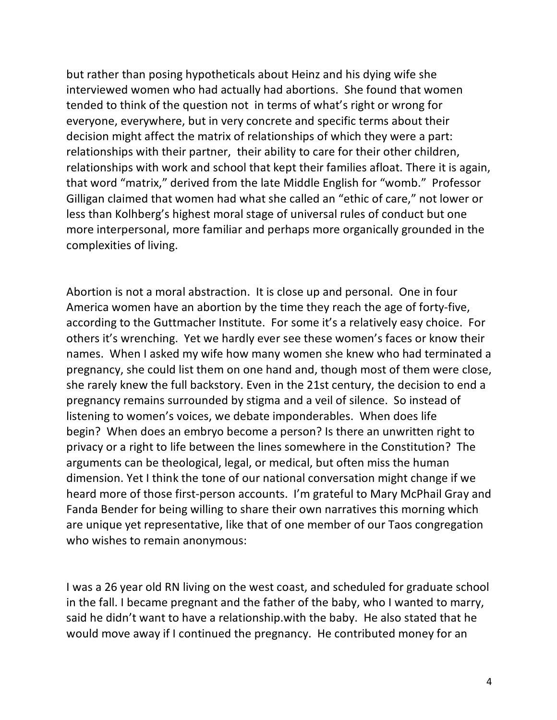but rather than posing hypotheticals about Heinz and his dying wife she interviewed women who had actually had abortions. She found that women tended to think of the question not in terms of what's right or wrong for everyone, everywhere, but in very concrete and specific terms about their decision might affect the matrix of relationships of which they were a part: relationships with their partner, their ability to care for their other children, relationships with work and school that kept their families afloat. There it is again, that word "matrix," derived from the late Middle English for "womb." Professor Gilligan claimed that women had what she called an "ethic of care," not lower or less than Kolhberg's highest moral stage of universal rules of conduct but one more interpersonal, more familiar and perhaps more organically grounded in the complexities of living.

Abortion is not a moral abstraction. It is close up and personal. One in four America women have an abortion by the time they reach the age of forty-five, according to the Guttmacher Institute. For some it's a relatively easy choice. For others it's wrenching. Yet we hardly ever see these women's faces or know their names. When I asked my wife how many women she knew who had terminated a pregnancy, she could list them on one hand and, though most of them were close, she rarely knew the full backstory. Even in the 21st century, the decision to end a pregnancy remains surrounded by stigma and a veil of silence. So instead of listening to women's voices, we debate imponderables. When does life begin? When does an embryo become a person? Is there an unwritten right to privacy or a right to life between the lines somewhere in the Constitution? The arguments can be theological, legal, or medical, but often miss the human dimension. Yet I think the tone of our national conversation might change if we heard more of those first-person accounts. I'm grateful to Mary McPhail Gray and Fanda Bender for being willing to share their own narratives this morning which are unique yet representative, like that of one member of our Taos congregation who wishes to remain anonymous:

I was a 26 year old RN living on the west coast, and scheduled for graduate school in the fall. I became pregnant and the father of the baby, who I wanted to marry, said he didn't want to have a relationship.with the baby. He also stated that he would move away if I continued the pregnancy. He contributed money for an